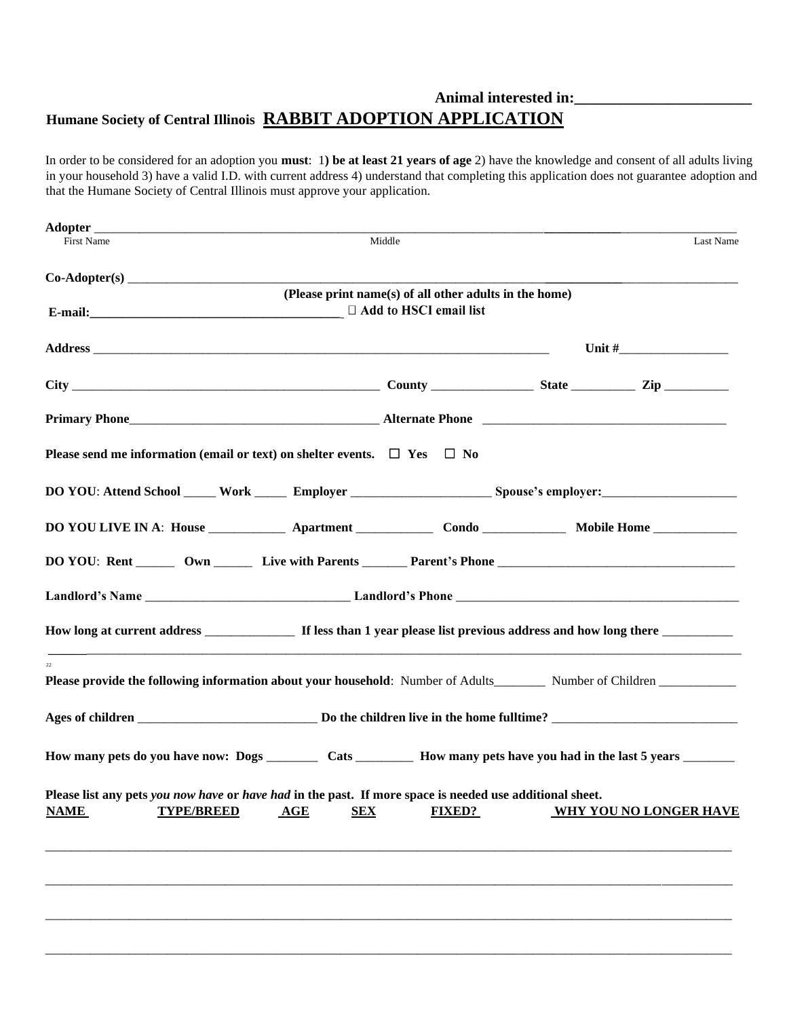## **Animal interested in:\_\_\_\_\_\_\_\_\_\_\_\_\_\_\_\_\_\_\_\_\_\_\_ Humane Society of Central Illinois RABBIT ADOPTION APPLICATION**

In order to be considered for an adoption you **must**: 1**) be at least 21 years of age** 2) have the knowledge and consent of all adults living in your household 3) have a valid I.D. with current address 4) understand that completing this application does not guarantee adoption and that the Humane Society of Central Illinois must approve your application.

| First Name                                                                                                                                          | Middle                                                 |               |  | Last Name                     |
|-----------------------------------------------------------------------------------------------------------------------------------------------------|--------------------------------------------------------|---------------|--|-------------------------------|
|                                                                                                                                                     |                                                        |               |  |                               |
|                                                                                                                                                     | (Please print name(s) of all other adults in the home) |               |  |                               |
|                                                                                                                                                     | $\Box$ Add to HSCI email list                          |               |  |                               |
|                                                                                                                                                     |                                                        |               |  |                               |
|                                                                                                                                                     |                                                        |               |  |                               |
|                                                                                                                                                     |                                                        |               |  |                               |
| Please send me information (email or text) on shelter events. $\Box$ Yes $\Box$ No                                                                  |                                                        |               |  |                               |
|                                                                                                                                                     |                                                        |               |  |                               |
|                                                                                                                                                     |                                                        |               |  |                               |
|                                                                                                                                                     |                                                        |               |  |                               |
|                                                                                                                                                     |                                                        |               |  |                               |
|                                                                                                                                                     |                                                        |               |  |                               |
|                                                                                                                                                     |                                                        |               |  |                               |
|                                                                                                                                                     |                                                        |               |  |                               |
| How many pets do you have now: Dogs __________ Cats ___________ How many pets have you had in the last 5 years _________                            |                                                        |               |  |                               |
| Please list any pets you now have or have had in the past. If more space is needed use additional sheet.<br><b>TYPE/BREED</b><br><b>NAME</b><br>AGE | <b>SEX</b>                                             | <b>FIXED?</b> |  | <b>WHY YOU NO LONGER HAVE</b> |
|                                                                                                                                                     |                                                        |               |  |                               |
|                                                                                                                                                     |                                                        |               |  |                               |
|                                                                                                                                                     |                                                        |               |  |                               |
|                                                                                                                                                     |                                                        |               |  |                               |